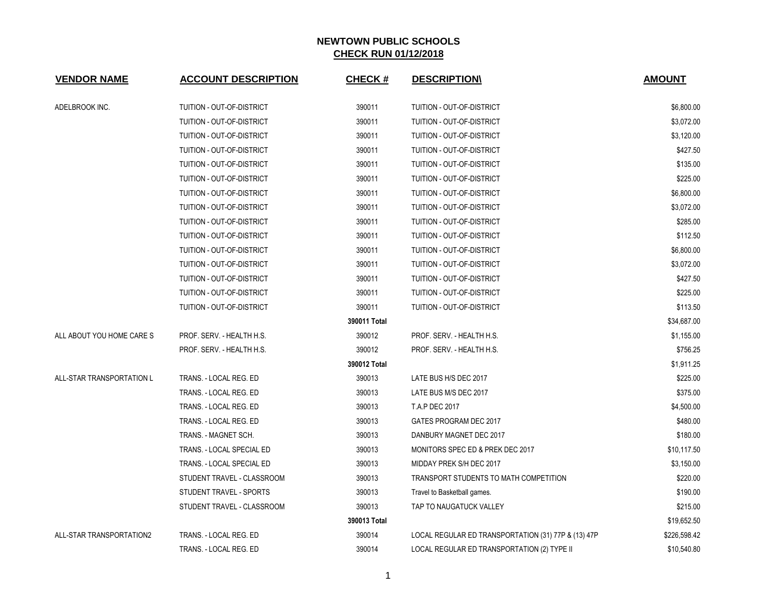| <b>VENDOR NAME</b>        | <b>ACCOUNT DESCRIPTION</b> | <b>CHECK#</b> | <b>DESCRIPTION</b>                                  | <b>AMOUNT</b> |
|---------------------------|----------------------------|---------------|-----------------------------------------------------|---------------|
| ADELBROOK INC.            | TUITION - OUT-OF-DISTRICT  | 390011        | TUITION - OUT-OF-DISTRICT                           | \$6,800.00    |
|                           | TUITION - OUT-OF-DISTRICT  | 390011        | <b>TUITION - OUT-OF-DISTRICT</b>                    | \$3,072.00    |
|                           | TUITION - OUT-OF-DISTRICT  | 390011        | TUITION - OUT-OF-DISTRICT                           | \$3,120.00    |
|                           | TUITION - OUT-OF-DISTRICT  | 390011        | TUITION - OUT-OF-DISTRICT                           | \$427.50      |
|                           | TUITION - OUT-OF-DISTRICT  | 390011        | TUITION - OUT-OF-DISTRICT                           | \$135.00      |
|                           | TUITION - OUT-OF-DISTRICT  | 390011        | <b>TUITION - OUT-OF-DISTRICT</b>                    | \$225.00      |
|                           | TUITION - OUT-OF-DISTRICT  | 390011        | TUITION - OUT-OF-DISTRICT                           | \$6,800.00    |
|                           | TUITION - OUT-OF-DISTRICT  | 390011        | TUITION - OUT-OF-DISTRICT                           | \$3,072.00    |
|                           | TUITION - OUT-OF-DISTRICT  | 390011        | TUITION - OUT-OF-DISTRICT                           | \$285.00      |
|                           | TUITION - OUT-OF-DISTRICT  | 390011        | TUITION - OUT-OF-DISTRICT                           | \$112.50      |
|                           | TUITION - OUT-OF-DISTRICT  | 390011        | TUITION - OUT-OF-DISTRICT                           | \$6,800.00    |
|                           | TUITION - OUT-OF-DISTRICT  | 390011        | TUITION - OUT-OF-DISTRICT                           | \$3,072.00    |
|                           | TUITION - OUT-OF-DISTRICT  | 390011        | TUITION - OUT-OF-DISTRICT                           | \$427.50      |
|                           | TUITION - OUT-OF-DISTRICT  | 390011        | TUITION - OUT-OF-DISTRICT                           | \$225.00      |
|                           | TUITION - OUT-OF-DISTRICT  | 390011        | TUITION - OUT-OF-DISTRICT                           | \$113.50      |
|                           |                            | 390011 Total  |                                                     | \$34,687.00   |
| ALL ABOUT YOU HOME CARE S | PROF. SERV. - HEALTH H.S.  | 390012        | PROF. SERV. - HEALTH H.S.                           | \$1,155.00    |
|                           | PROF. SERV. - HEALTH H.S.  | 390012        | PROF. SERV. - HEALTH H.S.                           | \$756.25      |
|                           |                            | 390012 Total  |                                                     | \$1,911.25    |
| ALL-STAR TRANSPORTATION L | TRANS. - LOCAL REG. ED     | 390013        | LATE BUS H/S DEC 2017                               | \$225.00      |
|                           | TRANS. - LOCAL REG. ED     | 390013        | LATE BUS M/S DEC 2017                               | \$375.00      |
|                           | TRANS. - LOCAL REG. ED     | 390013        | <b>T.A.P DEC 2017</b>                               | \$4,500.00    |
|                           | TRANS. - LOCAL REG. ED     | 390013        | GATES PROGRAM DEC 2017                              | \$480.00      |
|                           | TRANS. - MAGNET SCH.       | 390013        | DANBURY MAGNET DEC 2017                             | \$180.00      |
|                           | TRANS. - LOCAL SPECIAL ED  | 390013        | MONITORS SPEC ED & PREK DEC 2017                    | \$10,117.50   |
|                           | TRANS. - LOCAL SPECIAL ED  | 390013        | MIDDAY PREK S/H DEC 2017                            | \$3,150.00    |
|                           | STUDENT TRAVEL - CLASSROOM | 390013        | TRANSPORT STUDENTS TO MATH COMPETITION              | \$220.00      |
|                           | STUDENT TRAVEL - SPORTS    | 390013        | Travel to Basketball games.                         | \$190.00      |
|                           | STUDENT TRAVEL - CLASSROOM | 390013        | TAP TO NAUGATUCK VALLEY                             | \$215.00      |
|                           |                            | 390013 Total  |                                                     | \$19,652.50   |
| ALL-STAR TRANSPORTATION2  | TRANS. - LOCAL REG. ED     | 390014        | LOCAL REGULAR ED TRANSPORTATION (31) 77P & (13) 47P | \$226,598.42  |
|                           | TRANS. - LOCAL REG. ED     | 390014        | LOCAL REGULAR ED TRANSPORTATION (2) TYPE II         | \$10,540.80   |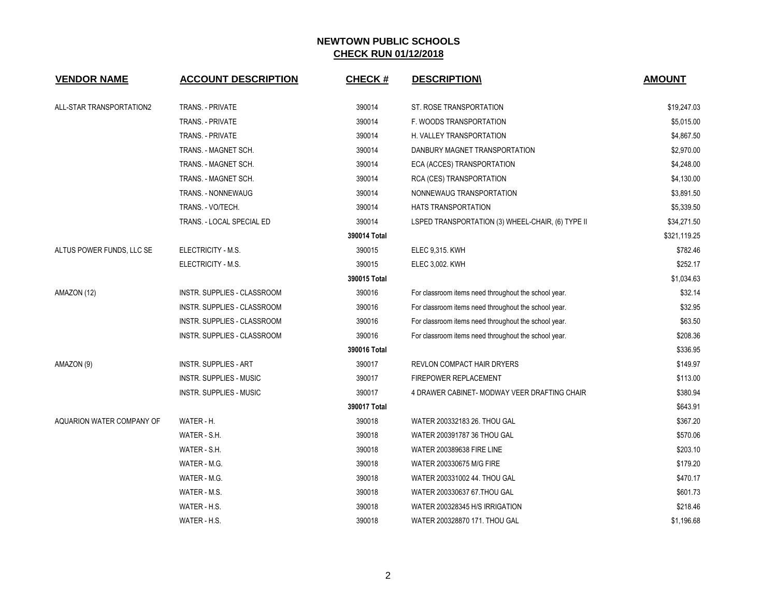| <b>VENDOR NAME</b>        | <b>ACCOUNT DESCRIPTION</b>     | <b>CHECK#</b> | <b>DESCRIPTION\</b>                                  | <b>AMOUNT</b> |
|---------------------------|--------------------------------|---------------|------------------------------------------------------|---------------|
| ALL-STAR TRANSPORTATION2  | <b>TRANS. - PRIVATE</b>        | 390014        | ST. ROSE TRANSPORTATION                              | \$19,247.03   |
|                           | TRANS. - PRIVATE               | 390014        | F. WOODS TRANSPORTATION                              | \$5,015.00    |
|                           | TRANS. - PRIVATE               | 390014        | H. VALLEY TRANSPORTATION                             | \$4,867.50    |
|                           | TRANS. - MAGNET SCH.           | 390014        | DANBURY MAGNET TRANSPORTATION                        | \$2,970.00    |
|                           | TRANS. - MAGNET SCH.           | 390014        | ECA (ACCES) TRANSPORTATION                           | \$4,248.00    |
|                           | TRANS. - MAGNET SCH.           | 390014        | RCA (CES) TRANSPORTATION                             | \$4,130.00    |
|                           | TRANS. - NONNEWAUG             | 390014        | NONNEWAUG TRANSPORTATION                             | \$3,891.50    |
|                           | TRANS. - VO/TECH.              | 390014        | <b>HATS TRANSPORTATION</b>                           | \$5,339.50    |
|                           | TRANS. - LOCAL SPECIAL ED      | 390014        | LSPED TRANSPORTATION (3) WHEEL-CHAIR, (6) TYPE II    | \$34,271.50   |
|                           |                                | 390014 Total  |                                                      | \$321,119.25  |
| ALTUS POWER FUNDS, LLC SE | ELECTRICITY - M.S.             | 390015        | ELEC 9,315. KWH                                      | \$782.46      |
|                           | ELECTRICITY - M.S.             | 390015        | <b>ELEC 3,002. KWH</b>                               | \$252.17      |
|                           |                                | 390015 Total  |                                                      | \$1,034.63    |
| AMAZON (12)               | INSTR. SUPPLIES - CLASSROOM    | 390016        | For classroom items need throughout the school year. | \$32.14       |
|                           | INSTR. SUPPLIES - CLASSROOM    | 390016        | For classroom items need throughout the school year. | \$32.95       |
|                           | INSTR. SUPPLIES - CLASSROOM    | 390016        | For classroom items need throughout the school year. | \$63.50       |
|                           | INSTR. SUPPLIES - CLASSROOM    | 390016        | For classroom items need throughout the school year. | \$208.36      |
|                           |                                | 390016 Total  |                                                      | \$336.95      |
| AMAZON (9)                | <b>INSTR. SUPPLIES - ART</b>   | 390017        | REVLON COMPACT HAIR DRYERS                           | \$149.97      |
|                           | <b>INSTR. SUPPLIES - MUSIC</b> | 390017        | <b>FIREPOWER REPLACEMENT</b>                         | \$113.00      |
|                           | <b>INSTR. SUPPLIES - MUSIC</b> | 390017        | 4 DRAWER CABINET- MODWAY VEER DRAFTING CHAIR         | \$380.94      |
|                           |                                | 390017 Total  |                                                      | \$643.91      |
| AQUARION WATER COMPANY OF | WATER - H.                     | 390018        | WATER 200332183 26. THOU GAL                         | \$367.20      |
|                           | WATER - S.H.                   | 390018        | WATER 200391787 36 THOU GAL                          | \$570.06      |
|                           | WATER - S.H.                   | 390018        | <b>WATER 200389638 FIRE LINE</b>                     | \$203.10      |
|                           | WATER - M.G.                   | 390018        | WATER 200330675 M/G FIRE                             | \$179.20      |
|                           | WATER - M.G.                   | 390018        | WATER 200331002 44. THOU GAL                         | \$470.17      |
|                           | WATER - M.S.                   | 390018        | WATER 200330637 67.THOU GAL                          | \$601.73      |
|                           | WATER - H.S.                   | 390018        | WATER 200328345 H/S IRRIGATION                       | \$218.46      |
|                           | WATER - H.S.                   | 390018        | WATER 200328870 171. THOU GAL                        | \$1,196.68    |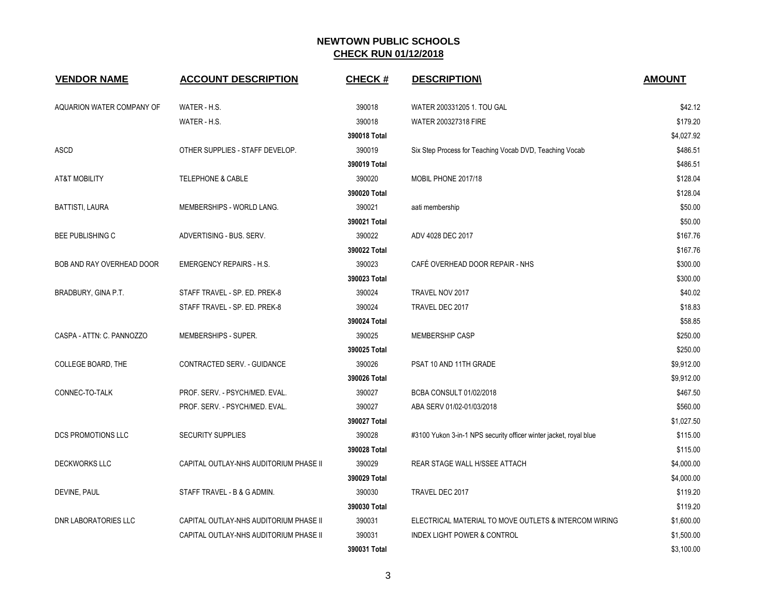| <b>VENDOR NAME</b>        | <b>ACCOUNT DESCRIPTION</b>             | <b>CHECK#</b> | <b>DESCRIPTION\</b>                                               | <b>AMOUNT</b> |
|---------------------------|----------------------------------------|---------------|-------------------------------------------------------------------|---------------|
| AQUARION WATER COMPANY OF | WATER - H.S.                           | 390018        | WATER 200331205 1. TOU GAL                                        | \$42.12       |
|                           | WATER - H.S.                           | 390018        | WATER 200327318 FIRE                                              | \$179.20      |
|                           |                                        | 390018 Total  |                                                                   | \$4,027.92    |
| <b>ASCD</b>               | OTHER SUPPLIES - STAFF DEVELOP.        | 390019        | Six Step Process for Teaching Vocab DVD, Teaching Vocab           | \$486.51      |
|                           |                                        | 390019 Total  |                                                                   | \$486.51      |
| <b>AT&amp;T MOBILITY</b>  | <b>TELEPHONE &amp; CABLE</b>           | 390020        | MOBIL PHONE 2017/18                                               | \$128.04      |
|                           |                                        | 390020 Total  |                                                                   | \$128.04      |
| BATTISTI, LAURA           | MEMBERSHIPS - WORLD LANG.              | 390021        | aati membership                                                   | \$50.00       |
|                           |                                        | 390021 Total  |                                                                   | \$50.00       |
| <b>BEE PUBLISHING C</b>   | ADVERTISING - BUS. SERV.               | 390022        | ADV 4028 DEC 2017                                                 | \$167.76      |
|                           |                                        | 390022 Total  |                                                                   | \$167.76      |
| BOB AND RAY OVERHEAD DOOR | <b>EMERGENCY REPAIRS - H.S.</b>        | 390023        | CAFÉ OVERHEAD DOOR REPAIR - NHS                                   | \$300.00      |
|                           |                                        | 390023 Total  |                                                                   | \$300.00      |
| BRADBURY, GINA P.T.       | STAFF TRAVEL - SP. ED. PREK-8          | 390024        | TRAVEL NOV 2017                                                   | \$40.02       |
|                           | STAFF TRAVEL - SP. ED. PREK-8          | 390024        | TRAVEL DEC 2017                                                   | \$18.83       |
|                           |                                        | 390024 Total  |                                                                   | \$58.85       |
| CASPA - ATTN: C. PANNOZZO | MEMBERSHIPS - SUPER.                   | 390025        | <b>MEMBERSHIP CASP</b>                                            | \$250.00      |
|                           |                                        | 390025 Total  |                                                                   | \$250.00      |
| COLLEGE BOARD, THE        | CONTRACTED SERV. - GUIDANCE            | 390026        | PSAT 10 AND 11TH GRADE                                            | \$9,912.00    |
|                           |                                        | 390026 Total  |                                                                   | \$9,912.00    |
| CONNEC-TO-TALK            | PROF. SERV. - PSYCH/MED. EVAL.         | 390027        | BCBA CONSULT 01/02/2018                                           | \$467.50      |
|                           | PROF. SERV. - PSYCH/MED. EVAL.         | 390027        | ABA SERV 01/02-01/03/2018                                         | \$560.00      |
|                           |                                        | 390027 Total  |                                                                   | \$1,027.50    |
| DCS PROMOTIONS LLC        | <b>SECURITY SUPPLIES</b>               | 390028        | #3100 Yukon 3-in-1 NPS security officer winter jacket, royal blue | \$115.00      |
|                           |                                        | 390028 Total  |                                                                   | \$115.00      |
| <b>DECKWORKS LLC</b>      | CAPITAL OUTLAY-NHS AUDITORIUM PHASE II | 390029        | REAR STAGE WALL H/SSEE ATTACH                                     | \$4,000.00    |
|                           |                                        | 390029 Total  |                                                                   | \$4,000.00    |
| DEVINE, PAUL              | STAFF TRAVEL - B & G ADMIN.            | 390030        | TRAVEL DEC 2017                                                   | \$119.20      |
|                           |                                        | 390030 Total  |                                                                   | \$119.20      |
| DNR LABORATORIES LLC      | CAPITAL OUTLAY-NHS AUDITORIUM PHASE II | 390031        | ELECTRICAL MATERIAL TO MOVE OUTLETS & INTERCOM WIRING             | \$1,600.00    |
|                           | CAPITAL OUTLAY-NHS AUDITORIUM PHASE II | 390031        | <b>INDEX LIGHT POWER &amp; CONTROL</b>                            | \$1,500.00    |
|                           |                                        | 390031 Total  |                                                                   | \$3,100.00    |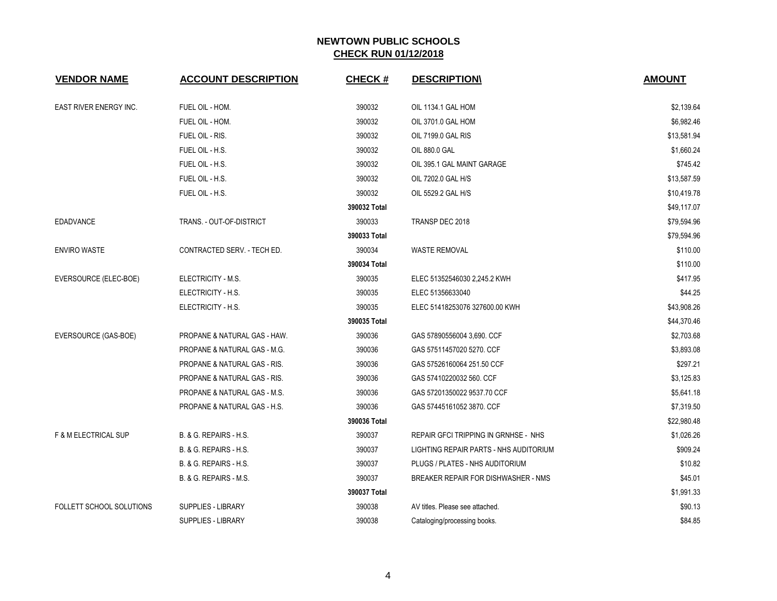| <b>VENDOR NAME</b>              | <b>ACCOUNT DESCRIPTION</b>              | <b>CHECK#</b> | <b>DESCRIPTION\</b>                    | <b>AMOUNT</b> |
|---------------------------------|-----------------------------------------|---------------|----------------------------------------|---------------|
| EAST RIVER ENERGY INC.          | FUEL OIL - HOM.                         | 390032        | OIL 1134.1 GAL HOM                     | \$2,139.64    |
|                                 | FUEL OIL - HOM.                         | 390032        | OIL 3701.0 GAL HOM                     | \$6,982.46    |
|                                 | FUEL OIL - RIS.                         | 390032        | OIL 7199.0 GAL RIS                     | \$13,581.94   |
|                                 | FUEL OIL - H.S.                         | 390032        | OIL 880.0 GAL                          | \$1,660.24    |
|                                 | FUEL OIL - H.S.                         | 390032        | OIL 395.1 GAL MAINT GARAGE             | \$745.42      |
|                                 | FUEL OIL - H.S.                         | 390032        | OIL 7202.0 GAL H/S                     | \$13,587.59   |
|                                 | FUEL OIL - H.S.                         | 390032        | OIL 5529.2 GAL H/S                     | \$10,419.78   |
|                                 |                                         | 390032 Total  |                                        | \$49,117.07   |
| <b>EDADVANCE</b>                | TRANS. - OUT-OF-DISTRICT                | 390033        | TRANSP DEC 2018                        | \$79,594.96   |
|                                 |                                         | 390033 Total  |                                        | \$79,594.96   |
| <b>ENVIRO WASTE</b>             | CONTRACTED SERV. - TECH ED.             | 390034        | WASTE REMOVAL                          | \$110.00      |
|                                 |                                         | 390034 Total  |                                        | \$110.00      |
| EVERSOURCE (ELEC-BOE)           | ELECTRICITY - M.S.                      | 390035        | ELEC 51352546030 2,245.2 KWH           | \$417.95      |
|                                 | ELECTRICITY - H.S.                      | 390035        | ELEC 51356633040                       | \$44.25       |
|                                 | ELECTRICITY - H.S.                      | 390035        | ELEC 51418253076 327600.00 KWH         | \$43,908.26   |
|                                 |                                         | 390035 Total  |                                        | \$44,370.46   |
| EVERSOURCE (GAS-BOE)            | PROPANE & NATURAL GAS - HAW.            | 390036        | GAS 57890556004 3,690. CCF             | \$2,703.68    |
|                                 | PROPANE & NATURAL GAS - M.G.            | 390036        | GAS 57511457020 5270. CCF              | \$3,893.08    |
|                                 | PROPANE & NATURAL GAS - RIS.            | 390036        | GAS 57526160064 251.50 CCF             | \$297.21      |
|                                 | <b>PROPANE &amp; NATURAL GAS - RIS.</b> | 390036        | GAS 57410220032 560. CCF               | \$3,125.83    |
|                                 | PROPANE & NATURAL GAS - M.S.            | 390036        | GAS 57201350022 9537.70 CCF            | \$5,641.18    |
|                                 | PROPANE & NATURAL GAS - H.S.            | 390036        | GAS 57445161052 3870. CCF              | \$7,319.50    |
|                                 |                                         | 390036 Total  |                                        | \$22,980.48   |
| <b>F &amp; M ELECTRICAL SUP</b> | B. & G. REPAIRS - H.S.                  | 390037        | REPAIR GFCI TRIPPING IN GRNHSE - NHS   | \$1,026.26    |
|                                 | B. & G. REPAIRS - H.S.                  | 390037        | LIGHTING REPAIR PARTS - NHS AUDITORIUM | \$909.24      |
|                                 | B. & G. REPAIRS - H.S.                  | 390037        | PLUGS / PLATES - NHS AUDITORIUM        | \$10.82       |
|                                 | B. & G. REPAIRS - M.S.                  | 390037        | BREAKER REPAIR FOR DISHWASHER - NMS    | \$45.01       |
|                                 |                                         | 390037 Total  |                                        | \$1,991.33    |
| FOLLETT SCHOOL SOLUTIONS        | <b>SUPPLIES - LIBRARY</b>               | 390038        | AV titles. Please see attached.        | \$90.13       |
|                                 | <b>SUPPLIES - LIBRARY</b>               | 390038        | Cataloging/processing books.           | \$84.85       |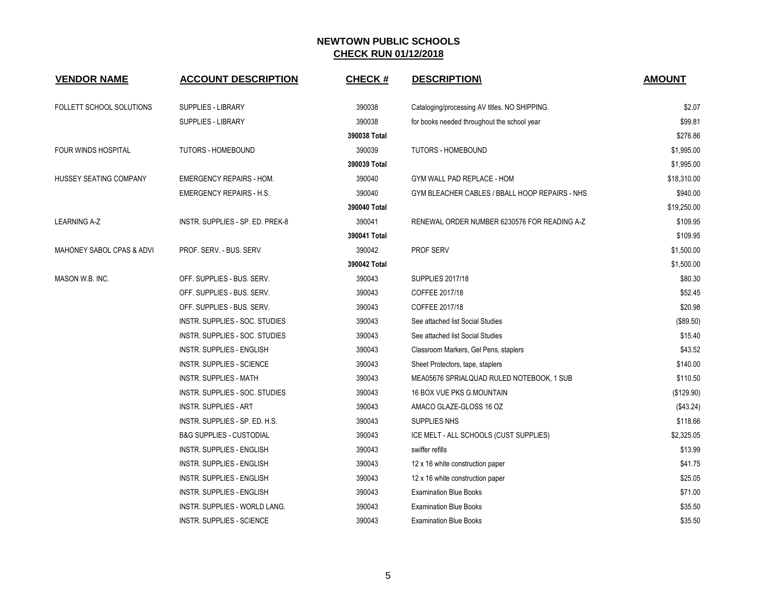| <b>VENDOR NAME</b>            | <b>ACCOUNT DESCRIPTION</b>           | <b>CHECK#</b> | <b>DESCRIPTION\</b>                            | <b>AMOUNT</b> |
|-------------------------------|--------------------------------------|---------------|------------------------------------------------|---------------|
| FOLLETT SCHOOL SOLUTIONS      | <b>SUPPLIES - LIBRARY</b>            | 390038        | Cataloging/processing AV titles. NO SHIPPING.  | \$2.07        |
|                               | <b>SUPPLIES - LIBRARY</b>            | 390038        | for books needed throughout the school year    | \$99.81       |
|                               |                                      | 390038 Total  |                                                | \$276.86      |
| <b>FOUR WINDS HOSPITAL</b>    | <b>TUTORS - HOMEBOUND</b>            | 390039        | <b>TUTORS - HOMEBOUND</b>                      | \$1,995.00    |
|                               |                                      | 390039 Total  |                                                | \$1,995.00    |
| <b>HUSSEY SEATING COMPANY</b> | <b>EMERGENCY REPAIRS - HOM.</b>      | 390040        | GYM WALL PAD REPLACE - HOM                     | \$18,310.00   |
|                               | <b>EMERGENCY REPAIRS - H.S.</b>      | 390040        | GYM BLEACHER CABLES / BBALL HOOP REPAIRS - NHS | \$940.00      |
|                               |                                      | 390040 Total  |                                                | \$19,250.00   |
| <b>LEARNING A-Z</b>           | INSTR. SUPPLIES - SP. ED. PREK-8     | 390041        | RENEWAL ORDER NUMBER 6230576 FOR READING A-Z   | \$109.95      |
|                               |                                      | 390041 Total  |                                                | \$109.95      |
| MAHONEY SABOL CPAS & ADVI     | PROF. SERV. - BUS. SERV              | 390042        | <b>PROF SERV</b>                               | \$1,500.00    |
|                               |                                      | 390042 Total  |                                                | \$1,500.00    |
| MASON W.B. INC.               | OFF. SUPPLIES - BUS. SERV.           | 390043        | <b>SUPPLIES 2017/18</b>                        | \$80.30       |
|                               | OFF. SUPPLIES - BUS. SERV.           | 390043        | COFFEE 2017/18                                 | \$52.45       |
|                               | OFF. SUPPLIES - BUS. SERV.           | 390043        | COFFEE 2017/18                                 | \$20.98       |
|                               | INSTR. SUPPLIES - SOC. STUDIES       | 390043        | See attached list Social Studies               | (\$89.50)     |
|                               | INSTR. SUPPLIES - SOC. STUDIES       | 390043        | See attached list Social Studies               | \$15.40       |
|                               | <b>INSTR. SUPPLIES - ENGLISH</b>     | 390043        | Classroom Markers, Gel Pens, staplers          | \$43.52       |
|                               | INSTR. SUPPLIES - SCIENCE            | 390043        | Sheet Protectors, tape, staplers               | \$140.00      |
|                               | <b>INSTR. SUPPLIES - MATH</b>        | 390043        | MEA05676 SPRIALQUAD RULED NOTEBOOK, 1 SUB      | \$110.50      |
|                               | INSTR. SUPPLIES - SOC. STUDIES       | 390043        | 16 BOX VUE PKS G.MOUNTAIN                      | (\$129.90)    |
|                               | <b>INSTR. SUPPLIES - ART</b>         | 390043        | AMACO GLAZE-GLOSS 16 OZ                        | (\$43.24)     |
|                               | INSTR. SUPPLIES - SP. ED. H.S.       | 390043        | SUPPLIES NHS                                   | \$118.66      |
|                               | <b>B&amp;G SUPPLIES - CUSTODIAL</b>  | 390043        | ICE MELT - ALL SCHOOLS (CUST SUPPLIES)         | \$2,325.05    |
|                               | INSTR. SUPPLIES - ENGLISH            | 390043        | swiffer refills                                | \$13.99       |
|                               | INSTR. SUPPLIES - ENGLISH            | 390043        | 12 x 16 white construction paper               | \$41.75       |
|                               | INSTR. SUPPLIES - ENGLISH            | 390043        | 12 x 16 white construction paper               | \$25.05       |
|                               | INSTR. SUPPLIES - ENGLISH            | 390043        | <b>Examination Blue Books</b>                  | \$71.00       |
|                               | <b>INSTR. SUPPLIES - WORLD LANG.</b> | 390043        | <b>Examination Blue Books</b>                  | \$35.50       |
|                               | INSTR. SUPPLIES - SCIENCE            | 390043        | <b>Examination Blue Books</b>                  | \$35.50       |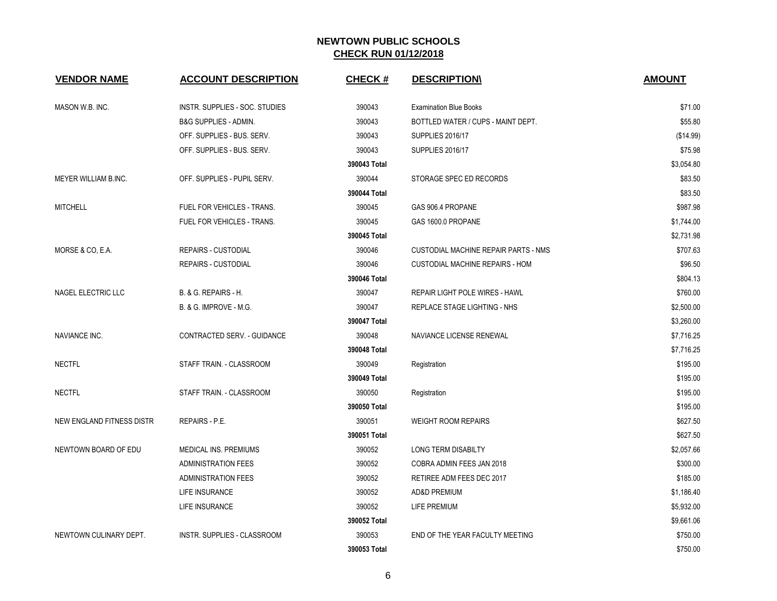| <b>VENDOR NAME</b>        | <b>ACCOUNT DESCRIPTION</b>        | <b>CHECK#</b> | <b>DESCRIPTION\</b>                    | <b>AMOUNT</b> |
|---------------------------|-----------------------------------|---------------|----------------------------------------|---------------|
| MASON W.B. INC.           | INSTR. SUPPLIES - SOC. STUDIES    | 390043        | <b>Examination Blue Books</b>          | \$71.00       |
|                           | B&G SUPPLIES - ADMIN.             | 390043        | BOTTLED WATER / CUPS - MAINT DEPT.     | \$55.80       |
|                           | OFF. SUPPLIES - BUS. SERV.        | 390043        | <b>SUPPLIES 2016/17</b>                | (\$14.99)     |
|                           | OFF. SUPPLIES - BUS. SERV.        | 390043        | <b>SUPPLIES 2016/17</b>                | \$75.98       |
|                           |                                   | 390043 Total  |                                        | \$3,054.80    |
| MEYER WILLIAM B.INC.      | OFF. SUPPLIES - PUPIL SERV.       | 390044        | STORAGE SPEC ED RECORDS                | \$83.50       |
|                           |                                   | 390044 Total  |                                        | \$83.50       |
| <b>MITCHELL</b>           | FUEL FOR VEHICLES - TRANS.        | 390045        | GAS 906.4 PROPANE                      | \$987.98      |
|                           | FUEL FOR VEHICLES - TRANS.        | 390045        | GAS 1600.0 PROPANE                     | \$1,744.00    |
|                           |                                   | 390045 Total  |                                        | \$2,731.98    |
| MORSE & CO, E.A.          | REPAIRS - CUSTODIAL               | 390046        | CUSTODIAL MACHINE REPAIR PARTS - NMS   | \$707.63      |
|                           | <b>REPAIRS - CUSTODIAL</b>        | 390046        | <b>CUSTODIAL MACHINE REPAIRS - HOM</b> | \$96.50       |
|                           |                                   | 390046 Total  |                                        | \$804.13      |
| NAGEL ELECTRIC LLC        | <b>B. &amp; G. REPAIRS - H.</b>   | 390047        | <b>REPAIR LIGHT POLE WIRES - HAWL</b>  | \$760.00      |
|                           | <b>B. &amp; G. IMPROVE - M.G.</b> | 390047        | <b>REPLACE STAGE LIGHTING - NHS</b>    | \$2,500.00    |
|                           |                                   | 390047 Total  |                                        | \$3,260.00    |
| NAVIANCE INC.             | CONTRACTED SERV. - GUIDANCE       | 390048        | NAVIANCE LICENSE RENEWAL               | \$7,716.25    |
|                           |                                   | 390048 Total  |                                        | \$7,716.25    |
| <b>NECTFL</b>             | STAFF TRAIN. - CLASSROOM          | 390049        | Registration                           | \$195.00      |
|                           |                                   | 390049 Total  |                                        | \$195.00      |
| <b>NECTFL</b>             | STAFF TRAIN. - CLASSROOM          | 390050        | Registration                           | \$195.00      |
|                           |                                   | 390050 Total  |                                        | \$195.00      |
| NEW ENGLAND FITNESS DISTR | <b>REPAIRS - P.E.</b>             | 390051        | <b>WEIGHT ROOM REPAIRS</b>             | \$627.50      |
|                           |                                   | 390051 Total  |                                        | \$627.50      |
| NEWTOWN BOARD OF EDU      | MEDICAL INS. PREMIUMS             | 390052        | LONG TERM DISABILTY                    | \$2,057.66    |
|                           | <b>ADMINISTRATION FEES</b>        | 390052        | COBRA ADMIN FEES JAN 2018              | \$300.00      |
|                           | <b>ADMINISTRATION FEES</b>        | 390052        | RETIREE ADM FEES DEC 2017              | \$185.00      |
|                           | <b>LIFE INSURANCE</b>             | 390052        | <b>AD&amp;D PREMIUM</b>                | \$1,186.40    |
|                           | LIFE INSURANCE                    | 390052        | <b>LIFE PREMIUM</b>                    | \$5,932.00    |
|                           |                                   | 390052 Total  |                                        | \$9,661.06    |
| NEWTOWN CULINARY DEPT.    | INSTR. SUPPLIES - CLASSROOM       | 390053        | END OF THE YEAR FACULTY MEETING        | \$750.00      |
|                           |                                   | 390053 Total  |                                        | \$750.00      |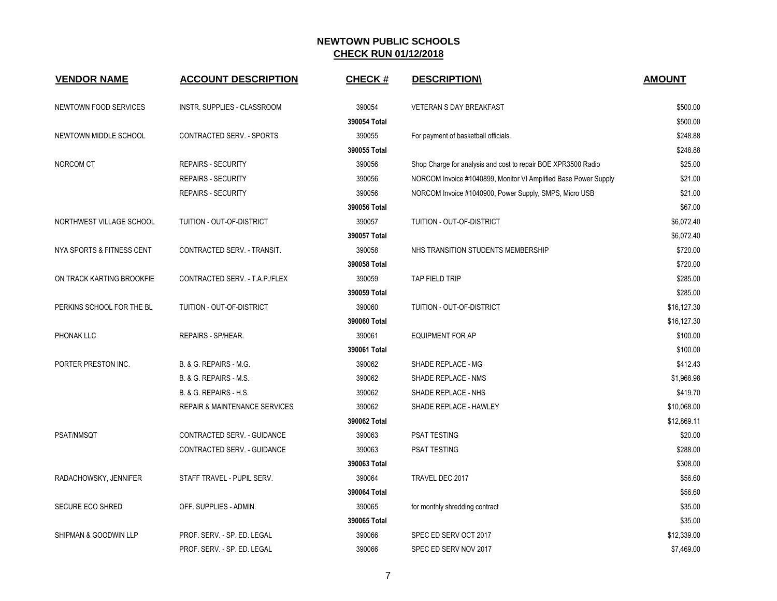| <b>VENDOR NAME</b>        | <b>ACCOUNT DESCRIPTION</b>               | <b>CHECK#</b> | <b>DESCRIPTION\</b>                                             | <b>AMOUNT</b> |
|---------------------------|------------------------------------------|---------------|-----------------------------------------------------------------|---------------|
| NEWTOWN FOOD SERVICES     | <b>INSTR. SUPPLIES - CLASSROOM</b>       | 390054        | <b>VETERAN S DAY BREAKFAST</b>                                  | \$500.00      |
|                           |                                          | 390054 Total  |                                                                 | \$500.00      |
| NEWTOWN MIDDLE SCHOOL     | CONTRACTED SERV. - SPORTS                | 390055        | For payment of basketball officials.                            | \$248.88      |
|                           |                                          | 390055 Total  |                                                                 | \$248.88      |
| NORCOM CT                 | <b>REPAIRS - SECURITY</b>                | 390056        | Shop Charge for analysis and cost to repair BOE XPR3500 Radio   | \$25.00       |
|                           | REPAIRS - SECURITY                       | 390056        | NORCOM Invoice #1040899, Monitor VI Amplified Base Power Supply | \$21.00       |
|                           | <b>REPAIRS - SECURITY</b>                | 390056        | NORCOM Invoice #1040900, Power Supply, SMPS, Micro USB          | \$21.00       |
|                           |                                          | 390056 Total  |                                                                 | \$67.00       |
| NORTHWEST VILLAGE SCHOOL  | TUITION - OUT-OF-DISTRICT                | 390057        | TUITION - OUT-OF-DISTRICT                                       | \$6,072.40    |
|                           |                                          | 390057 Total  |                                                                 | \$6,072.40    |
| NYA SPORTS & FITNESS CENT | CONTRACTED SERV. - TRANSIT.              | 390058        | NHS TRANSITION STUDENTS MEMBERSHIP                              | \$720.00      |
|                           |                                          | 390058 Total  |                                                                 | \$720.00      |
| ON TRACK KARTING BROOKFIE | CONTRACTED SERV. - T.A.P./FLEX           | 390059        | TAP FIELD TRIP                                                  | \$285.00      |
|                           |                                          | 390059 Total  |                                                                 | \$285.00      |
| PERKINS SCHOOL FOR THE BL | TUITION - OUT-OF-DISTRICT                | 390060        | TUITION - OUT-OF-DISTRICT                                       | \$16,127.30   |
|                           |                                          | 390060 Total  |                                                                 | \$16,127.30   |
| PHONAK LLC                | REPAIRS - SP/HEAR.                       | 390061        | <b>EQUIPMENT FOR AP</b>                                         | \$100.00      |
|                           |                                          | 390061 Total  |                                                                 | \$100.00      |
| PORTER PRESTON INC.       | B. & G. REPAIRS - M.G.                   | 390062        | SHADE REPLACE - MG                                              | \$412.43      |
|                           | B. & G. REPAIRS - M.S.                   | 390062        | SHADE REPLACE - NMS                                             | \$1,968.98    |
|                           | B. & G. REPAIRS - H.S.                   | 390062        | SHADE REPLACE - NHS                                             | \$419.70      |
|                           | <b>REPAIR &amp; MAINTENANCE SERVICES</b> | 390062        | SHADE REPLACE - HAWLEY                                          | \$10,068.00   |
|                           |                                          | 390062 Total  |                                                                 | \$12,869.11   |
| PSAT/NMSQT                | CONTRACTED SERV. - GUIDANCE              | 390063        | <b>PSAT TESTING</b>                                             | \$20.00       |
|                           | CONTRACTED SERV. - GUIDANCE              | 390063        | PSAT TESTING                                                    | \$288.00      |
|                           |                                          | 390063 Total  |                                                                 | \$308.00      |
| RADACHOWSKY, JENNIFER     | STAFF TRAVEL - PUPIL SERV.               | 390064        | TRAVEL DEC 2017                                                 | \$56.60       |
|                           |                                          | 390064 Total  |                                                                 | \$56.60       |
| <b>SECURE ECO SHRED</b>   | OFF. SUPPLIES - ADMIN.                   | 390065        | for monthly shredding contract                                  | \$35.00       |
|                           |                                          | 390065 Total  |                                                                 | \$35.00       |
| SHIPMAN & GOODWIN LLP     | PROF. SERV. - SP. ED. LEGAL              | 390066        | SPEC ED SERV OCT 2017                                           | \$12,339.00   |
|                           | PROF. SERV. - SP. ED. LEGAL              | 390066        | SPEC ED SERV NOV 2017                                           | \$7,469.00    |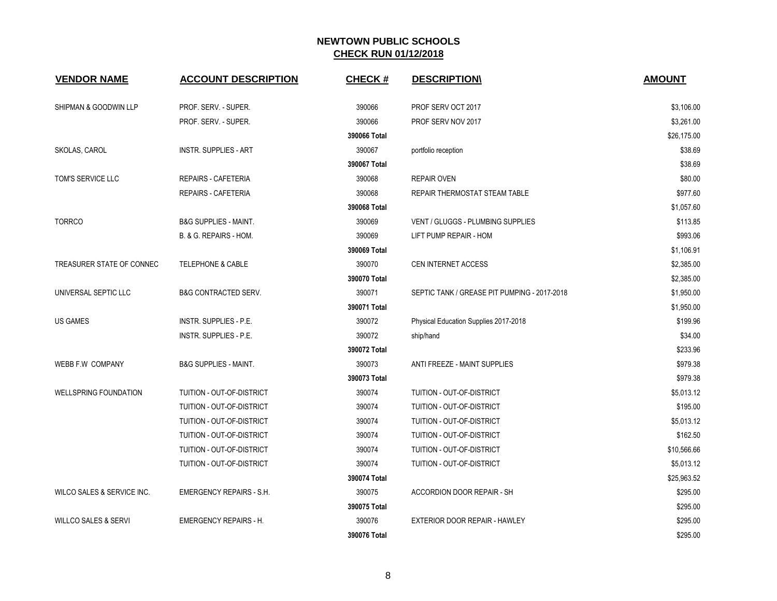| <b>VENDOR NAME</b>              | <b>ACCOUNT DESCRIPTION</b>       | <b>CHECK#</b> | <b>DESCRIPTION\</b>                          | <b>AMOUNT</b>       |
|---------------------------------|----------------------------------|---------------|----------------------------------------------|---------------------|
|                                 |                                  |               |                                              |                     |
| SHIPMAN & GOODWIN LLP           | PROF. SERV. - SUPER.             | 390066        | PROF SERV OCT 2017                           | \$3,106.00          |
|                                 | PROF. SERV. - SUPER.             | 390066        | PROF SERV NOV 2017                           | \$3,261.00          |
|                                 |                                  | 390066 Total  |                                              | \$26,175.00         |
| SKOLAS, CAROL                   | <b>INSTR. SUPPLIES - ART</b>     | 390067        | portfolio reception                          | \$38.69             |
|                                 |                                  | 390067 Total  |                                              | \$38.69             |
| TOM'S SERVICE LLC               | <b>REPAIRS - CAFETERIA</b>       | 390068        | <b>REPAIR OVEN</b>                           | \$80.00             |
|                                 | REPAIRS - CAFETERIA              | 390068        | REPAIR THERMOSTAT STEAM TABLE                | \$977.60            |
|                                 |                                  | 390068 Total  |                                              | \$1,057.60          |
| <b>TORRCO</b>                   | <b>B&amp;G SUPPLIES - MAINT.</b> | 390069        | <b>VENT / GLUGGS - PLUMBING SUPPLIES</b>     | \$113.85            |
|                                 | B. & G. REPAIRS - HOM.           | 390069        | LIFT PUMP REPAIR - HOM                       | \$993.06            |
|                                 |                                  | 390069 Total  |                                              | \$1,106.91          |
| TREASURER STATE OF CONNEC       | <b>TELEPHONE &amp; CABLE</b>     | 390070        | CEN INTERNET ACCESS                          | \$2,385.00          |
|                                 |                                  | 390070 Total  |                                              | \$2,385.00          |
| UNIVERSAL SEPTIC LLC            | B&G CONTRACTED SERV.             | 390071        | SEPTIC TANK / GREASE PIT PUMPING - 2017-2018 | \$1,950.00          |
|                                 |                                  | 390071 Total  |                                              | \$1,950.00          |
| <b>US GAMES</b>                 | INSTR. SUPPLIES - P.E.           | 390072        | Physical Education Supplies 2017-2018        | \$199.96            |
|                                 | <b>INSTR. SUPPLIES - P.E.</b>    | 390072        | ship/hand                                    | \$34.00<br>\$233.96 |
|                                 |                                  | 390072 Total  |                                              |                     |
| WEBB F.W COMPANY                | <b>B&amp;G SUPPLIES - MAINT.</b> | 390073        | ANTI FREEZE - MAINT SUPPLIES                 | \$979.38            |
|                                 |                                  | 390073 Total  |                                              | \$979.38            |
| <b>WELLSPRING FOUNDATION</b>    | TUITION - OUT-OF-DISTRICT        | 390074        | TUITION - OUT-OF-DISTRICT                    | \$5,013.12          |
|                                 | TUITION - OUT-OF-DISTRICT        | 390074        | TUITION - OUT-OF-DISTRICT                    | \$195.00            |
|                                 | TUITION - OUT-OF-DISTRICT        | 390074        | TUITION - OUT-OF-DISTRICT                    | \$5,013.12          |
|                                 | TUITION - OUT-OF-DISTRICT        | 390074        | TUITION - OUT-OF-DISTRICT                    | \$162.50            |
|                                 | TUITION - OUT-OF-DISTRICT        | 390074        | TUITION - OUT-OF-DISTRICT                    | \$10,566.66         |
|                                 | TUITION - OUT-OF-DISTRICT        | 390074        | TUITION - OUT-OF-DISTRICT                    | \$5,013.12          |
|                                 |                                  | 390074 Total  |                                              | \$25,963.52         |
| WILCO SALES & SERVICE INC.      | <b>EMERGENCY REPAIRS - S.H.</b>  | 390075        | ACCORDION DOOR REPAIR - SH                   | \$295.00            |
|                                 |                                  | 390075 Total  |                                              | \$295.00            |
| <b>WILLCO SALES &amp; SERVI</b> | <b>EMERGENCY REPAIRS - H.</b>    | 390076        | EXTERIOR DOOR REPAIR - HAWLEY                | \$295.00            |
|                                 |                                  | 390076 Total  |                                              | \$295.00            |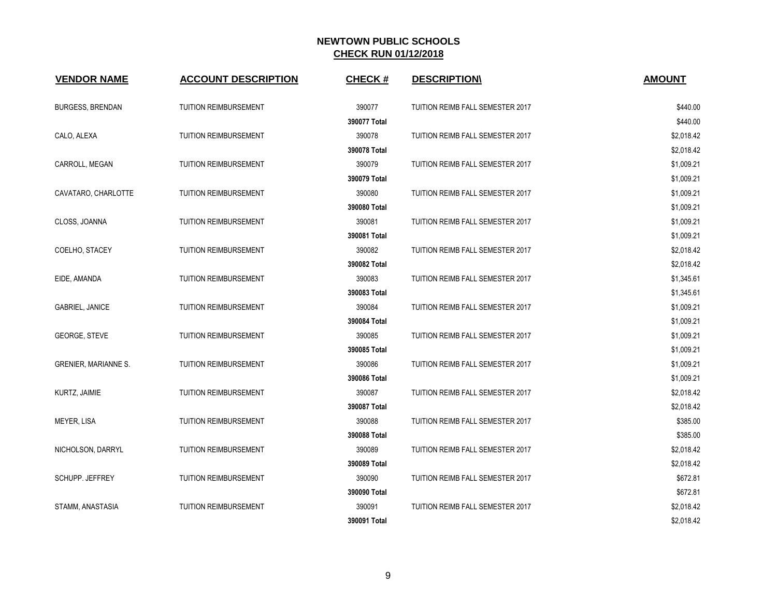| <b>VENDOR NAME</b>          | <b>ACCOUNT DESCRIPTION</b>   | <b>CHECK#</b> | <b>DESCRIPTION\</b>                     | <b>AMOUNT</b> |
|-----------------------------|------------------------------|---------------|-----------------------------------------|---------------|
| <b>BURGESS, BRENDAN</b>     | <b>TUITION REIMBURSEMENT</b> | 390077        | TUITION REIMB FALL SEMESTER 2017        | \$440.00      |
|                             |                              | 390077 Total  |                                         | \$440.00      |
| CALO, ALEXA                 | TUITION REIMBURSEMENT        | 390078        | TUITION REIMB FALL SEMESTER 2017        | \$2,018.42    |
|                             |                              | 390078 Total  |                                         | \$2,018.42    |
| CARROLL, MEGAN              | TUITION REIMBURSEMENT        | 390079        | TUITION REIMB FALL SEMESTER 2017        | \$1,009.21    |
|                             |                              | 390079 Total  |                                         | \$1,009.21    |
| CAVATARO, CHARLOTTE         | TUITION REIMBURSEMENT        | 390080        | TUITION REIMB FALL SEMESTER 2017        | \$1,009.21    |
|                             |                              | 390080 Total  |                                         | \$1,009.21    |
| CLOSS, JOANNA               | <b>TUITION REIMBURSEMENT</b> | 390081        | TUITION REIMB FALL SEMESTER 2017        | \$1,009.21    |
|                             |                              | 390081 Total  |                                         | \$1,009.21    |
| COELHO, STACEY              | <b>TUITION REIMBURSEMENT</b> | 390082        | TUITION REIMB FALL SEMESTER 2017        | \$2,018.42    |
|                             |                              | 390082 Total  |                                         | \$2,018.42    |
| EIDE, AMANDA                | <b>TUITION REIMBURSEMENT</b> | 390083        | TUITION REIMB FALL SEMESTER 2017        | \$1,345.61    |
|                             |                              | 390083 Total  |                                         | \$1,345.61    |
| <b>GABRIEL, JANICE</b>      | <b>TUITION REIMBURSEMENT</b> | 390084        | TUITION REIMB FALL SEMESTER 2017        | \$1,009.21    |
|                             |                              | 390084 Total  |                                         | \$1,009.21    |
| GEORGE, STEVE               | <b>TUITION REIMBURSEMENT</b> | 390085        | TUITION REIMB FALL SEMESTER 2017        | \$1,009.21    |
|                             |                              | 390085 Total  |                                         | \$1,009.21    |
| <b>GRENIER, MARIANNE S.</b> | TUITION REIMBURSEMENT        | 390086        | TUITION REIMB FALL SEMESTER 2017        | \$1,009.21    |
|                             |                              | 390086 Total  |                                         | \$1,009.21    |
| KURTZ, JAIMIE               | TUITION REIMBURSEMENT        | 390087        | TUITION REIMB FALL SEMESTER 2017        | \$2,018.42    |
|                             |                              | 390087 Total  |                                         | \$2,018.42    |
| MEYER, LISA                 | TUITION REIMBURSEMENT        | 390088        | TUITION REIMB FALL SEMESTER 2017        | \$385.00      |
|                             |                              | 390088 Total  |                                         | \$385.00      |
| NICHOLSON, DARRYL           | TUITION REIMBURSEMENT        | 390089        | TUITION REIMB FALL SEMESTER 2017        | \$2,018.42    |
|                             |                              | 390089 Total  |                                         | \$2,018.42    |
| SCHUPP. JEFFREY             | <b>TUITION REIMBURSEMENT</b> | 390090        | TUITION REIMB FALL SEMESTER 2017        | \$672.81      |
|                             |                              | 390090 Total  |                                         | \$672.81      |
| STAMM, ANASTASIA            | <b>TUITION REIMBURSEMENT</b> | 390091        | <b>TUITION REIMB FALL SEMESTER 2017</b> | \$2,018.42    |
|                             |                              | 390091 Total  |                                         | \$2,018.42    |